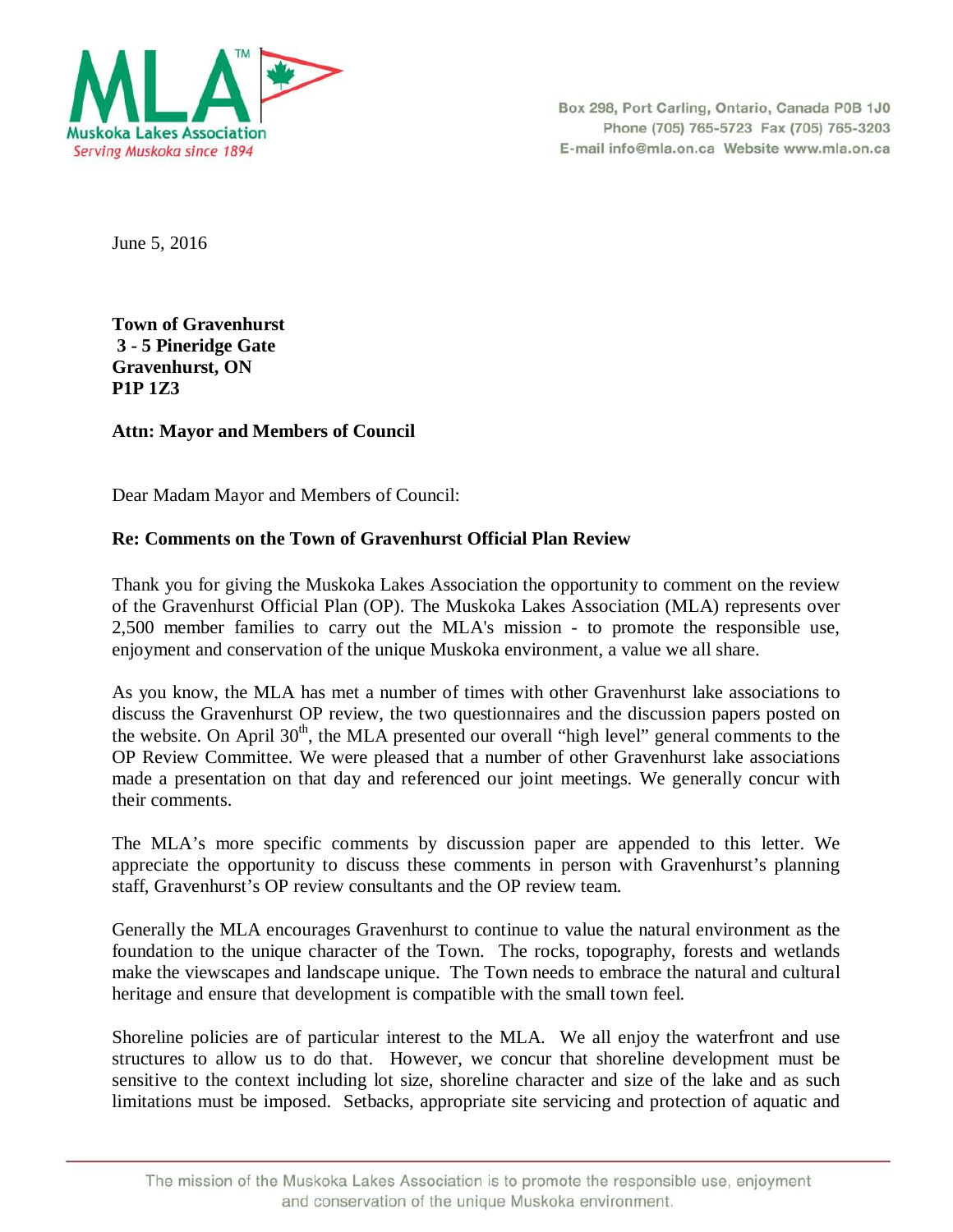

Box 298, Port Carling, Ontario, Canada P0B 1J0 Phone (705) 765-5723 Fax (705) 765-3203 E-mail info@mla.on.ca Website www.mla.on.ca

June 5, 2016

**Town of Gravenhurst 3 - 5 Pineridge Gate Gravenhurst, ON P1P 1Z3** 

## **Attn: Mayor and Members of Council**

Dear Madam Mayor and Members of Council:

## **Re: Comments on the Town of Gravenhurst Official Plan Review**

Thank you for giving the Muskoka Lakes Association the opportunity to comment on the review of the Gravenhurst Official Plan (OP). The Muskoka Lakes Association (MLA) represents over 2,500 member families to carry out the MLA's mission - to promote the responsible use, enjoyment and conservation of the unique Muskoka environment, a value we all share.

As you know, the MLA has met a number of times with other Gravenhurst lake associations to discuss the Gravenhurst OP review, the two questionnaires and the discussion papers posted on the website. On April  $30<sup>th</sup>$ , the MLA presented our overall "high level" general comments to the OP Review Committee. We were pleased that a number of other Gravenhurst lake associations made a presentation on that day and referenced our joint meetings. We generally concur with their comments.

The MLA's more specific comments by discussion paper are appended to this letter. We appreciate the opportunity to discuss these comments in person with Gravenhurst's planning staff, Gravenhurst's OP review consultants and the OP review team.

Generally the MLA encourages Gravenhurst to continue to value the natural environment as the foundation to the unique character of the Town. The rocks, topography, forests and wetlands make the viewscapes and landscape unique. The Town needs to embrace the natural and cultural heritage and ensure that development is compatible with the small town feel.

Shoreline policies are of particular interest to the MLA. We all enjoy the waterfront and use structures to allow us to do that. However, we concur that shoreline development must be sensitive to the context including lot size, shoreline character and size of the lake and as such limitations must be imposed. Setbacks, appropriate site servicing and protection of aquatic and